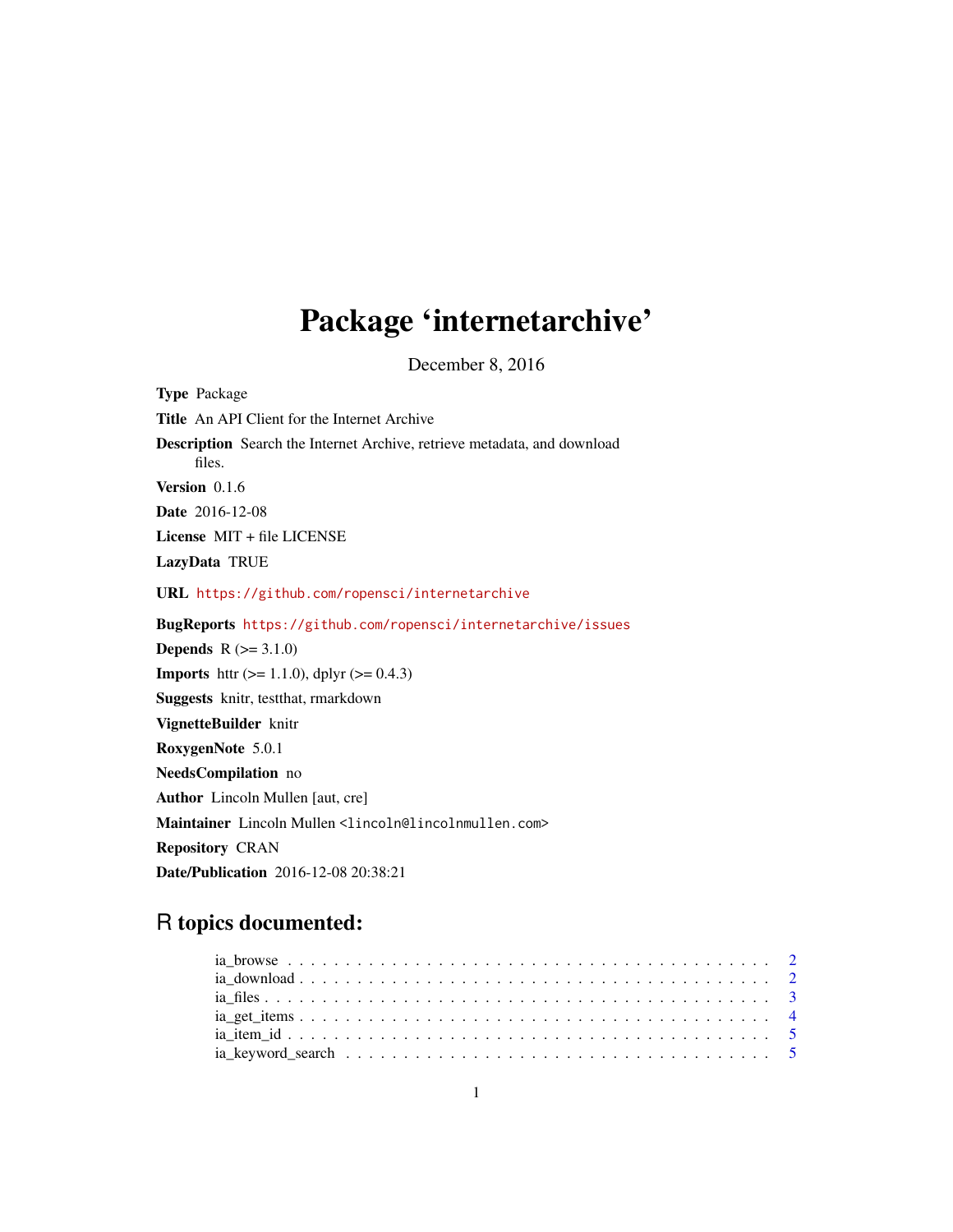## Package 'internetarchive'

December 8, 2016

Type Package Title An API Client for the Internet Archive Description Search the Internet Archive, retrieve metadata, and download files. Version 0.1.6 Date 2016-12-08 License MIT + file LICENSE LazyData TRUE URL <https://github.com/ropensci/internetarchive> BugReports <https://github.com/ropensci/internetarchive/issues> **Depends**  $R (=3.1.0)$ **Imports** httr ( $>= 1.1.0$ ), dplyr ( $>= 0.4.3$ ) Suggests knitr, testthat, rmarkdown VignetteBuilder knitr RoxygenNote 5.0.1 NeedsCompilation no Author Lincoln Mullen [aut, cre] Maintainer Lincoln Mullen <lincoln@lincolnmullen.com> Repository CRAN Date/Publication 2016-12-08 20:38:21

### R topics documented: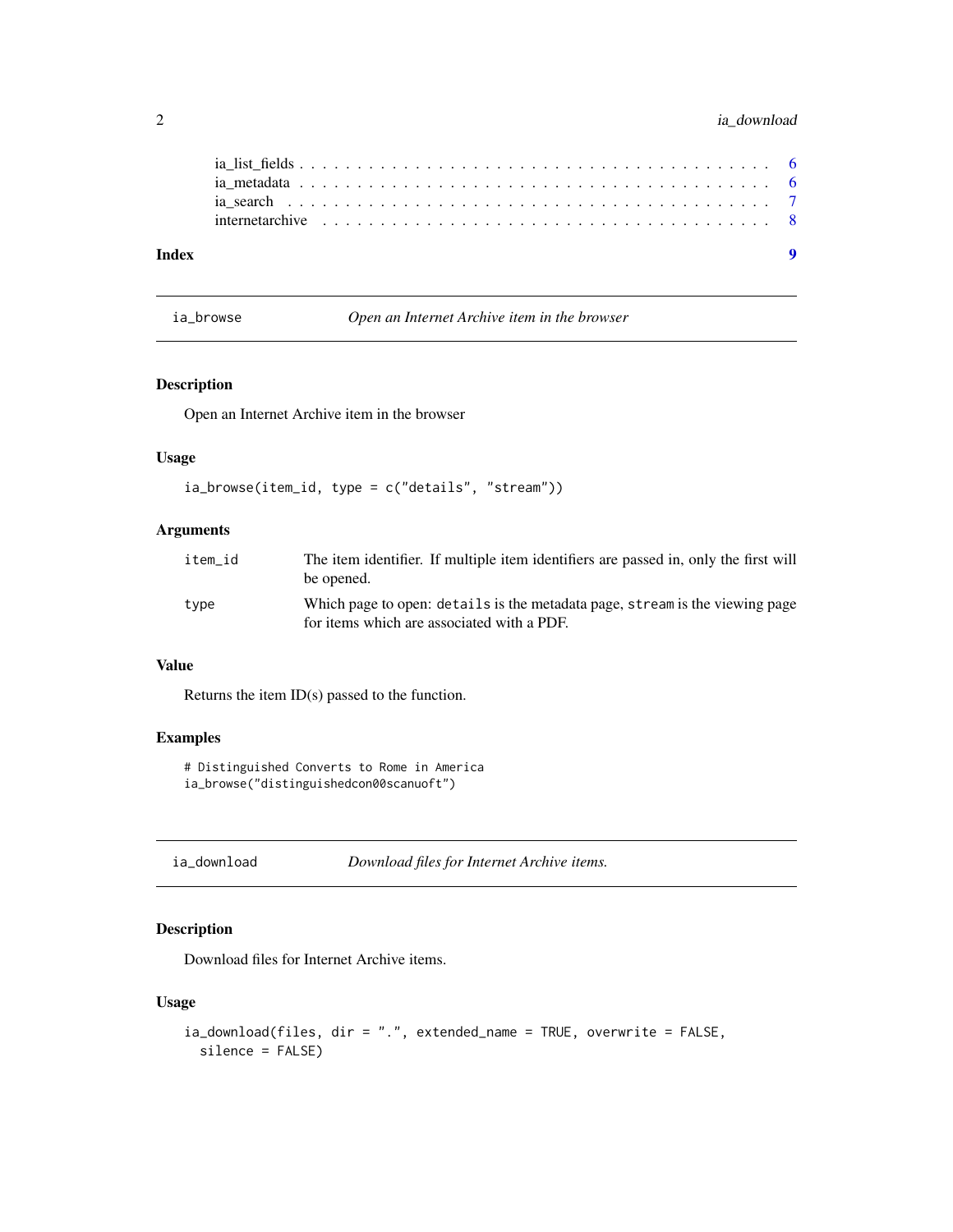#### <span id="page-1-0"></span>2 ia\_download

| Index |  |  |  |  |  |  |  |  |  |  |  |  |  |  |  |  |  |  |
|-------|--|--|--|--|--|--|--|--|--|--|--|--|--|--|--|--|--|--|
|       |  |  |  |  |  |  |  |  |  |  |  |  |  |  |  |  |  |  |
|       |  |  |  |  |  |  |  |  |  |  |  |  |  |  |  |  |  |  |
|       |  |  |  |  |  |  |  |  |  |  |  |  |  |  |  |  |  |  |

ia\_browse *Open an Internet Archive item in the browser*

#### Description

Open an Internet Archive item in the browser

#### Usage

```
ia_browse(item_id, type = c("details", "stream"))
```
#### Arguments

| item id | The item identifier. If multiple item identifiers are passed in, only the first will<br>be opened.                         |
|---------|----------------------------------------------------------------------------------------------------------------------------|
| type    | Which page to open: details is the metadata page, stream is the viewing page<br>for items which are associated with a PDF. |

#### Value

Returns the item ID(s) passed to the function.

#### Examples

# Distinguished Converts to Rome in America ia\_browse("distinguishedcon00scanuoft")

ia\_download *Download files for Internet Archive items.*

#### Description

Download files for Internet Archive items.

#### Usage

```
ia_download(files, dir = ".", extended_name = TRUE, overwrite = FALSE,
 silence = FALSE)
```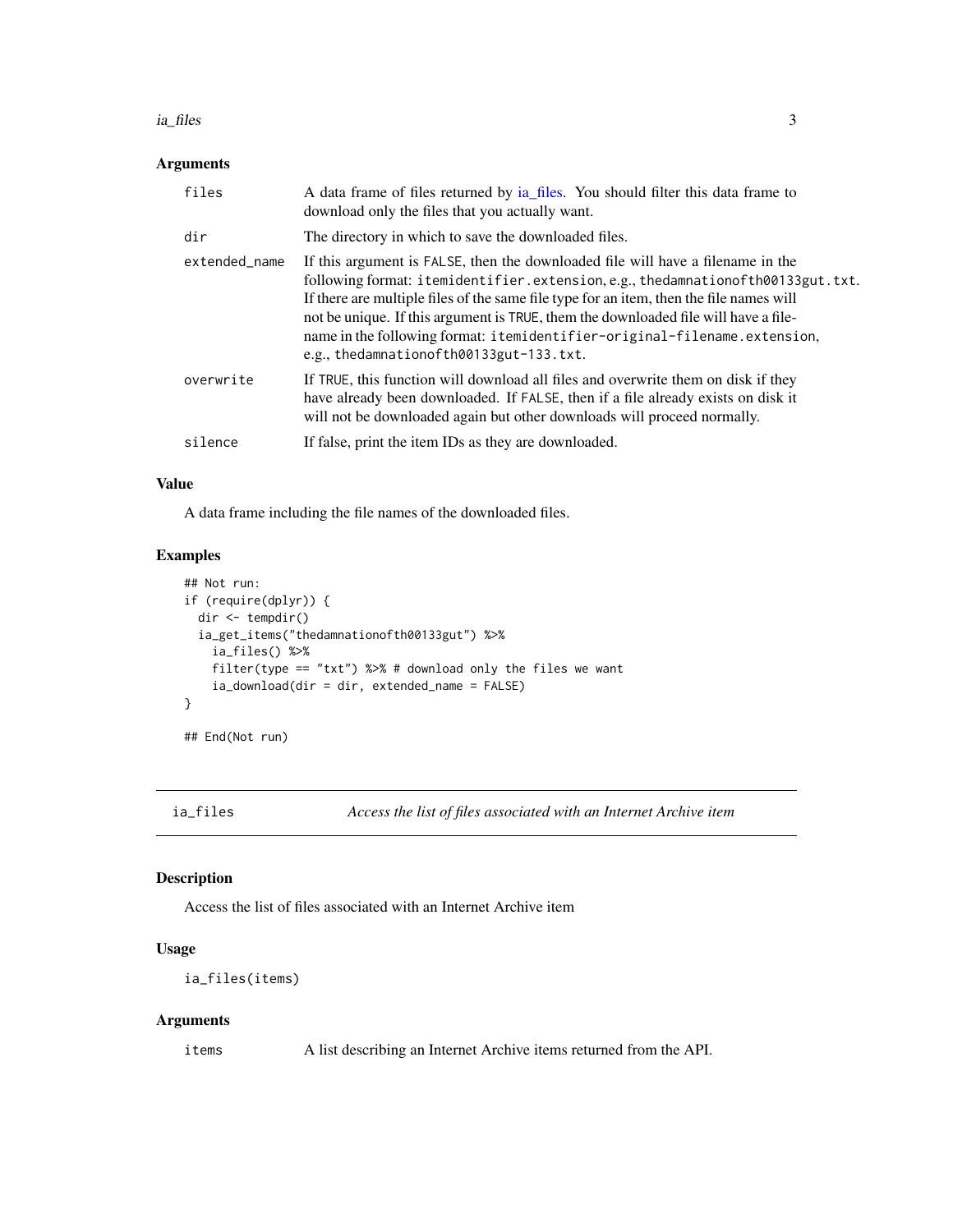#### <span id="page-2-0"></span>ia\_files 3

#### Arguments

| files         | A data frame of files returned by ia_files. You should filter this data frame to<br>download only the files that you actually want.                                                                                                                                                                                                                                                                                                                                         |
|---------------|-----------------------------------------------------------------------------------------------------------------------------------------------------------------------------------------------------------------------------------------------------------------------------------------------------------------------------------------------------------------------------------------------------------------------------------------------------------------------------|
| dir           | The directory in which to save the downloaded files.                                                                                                                                                                                                                                                                                                                                                                                                                        |
| extended_name | If this argument is FALSE, then the downloaded file will have a filename in the<br>following format: itemidentifier.extension,e.g., thedamnationofth00133gut.txt.<br>If there are multiple files of the same file type for an item, then the file names will<br>not be unique. If this argument is TRUE, them the downloaded file will have a file-<br>name in the following format: itemidentifier-original-filename.extension,<br>e.g., thedamnationofth00133gut-133.txt. |
| overwrite     | If TRUE, this function will download all files and overwrite them on disk if they<br>have already been downloaded. If FALSE, then if a file already exists on disk it<br>will not be downloaded again but other downloads will proceed normally.                                                                                                                                                                                                                            |
| silence       | If false, print the item IDs as they are downloaded.                                                                                                                                                                                                                                                                                                                                                                                                                        |

#### Value

A data frame including the file names of the downloaded files.

#### Examples

```
## Not run:
if (require(dplyr)) {
  dir <- tempdir()
  ia_get_items("thedamnationofth00133gut") %>%
    ia_files() %>%
    filter(type == "txt") %>% # download only the files we want
    ia_download(dir = dir, extended_name = FALSE)
}
## End(Not run)
```
<span id="page-2-1"></span>ia\_files *Access the list of files associated with an Internet Archive item*

#### Description

Access the list of files associated with an Internet Archive item

#### Usage

```
ia_files(items)
```
#### Arguments

items A list describing an Internet Archive items returned from the API.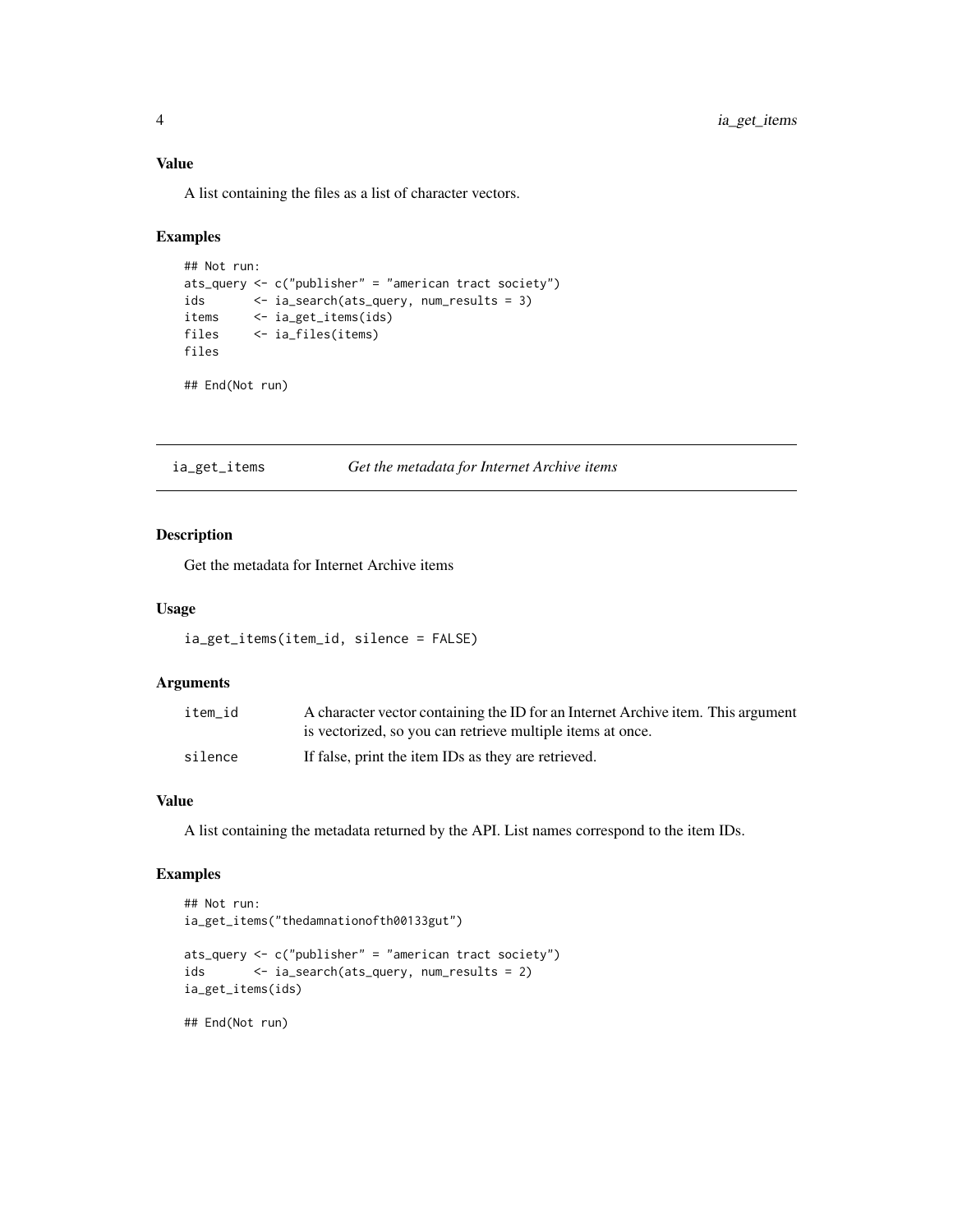#### <span id="page-3-0"></span>Value

A list containing the files as a list of character vectors.

#### Examples

```
## Not run:
ats_query <- c("publisher" = "american tract society")
ids <- ia_search(ats_query, num_results = 3)
items <- ia_get_items(ids)<br>files <- ia_files(items)
           files <- ia_files(items)
files
```
## End(Not run)

ia\_get\_items *Get the metadata for Internet Archive items*

#### Description

Get the metadata for Internet Archive items

#### Usage

```
ia_get_items(item_id, silence = FALSE)
```
#### Arguments

| item id | A character vector containing the ID for an Internet Archive item. This argument |
|---------|----------------------------------------------------------------------------------|
|         | is vectorized, so you can retrieve multiple items at once.                       |
| silence | If false, print the item IDs as they are retrieved.                              |

#### Value

A list containing the metadata returned by the API. List names correspond to the item IDs.

#### Examples

```
## Not run:
ia_get_items("thedamnationofth00133gut")
ats_query <- c("publisher" = "american tract society")
ids <- ia_search(ats_query, num_results = 2)
ia_get_items(ids)
## End(Not run)
```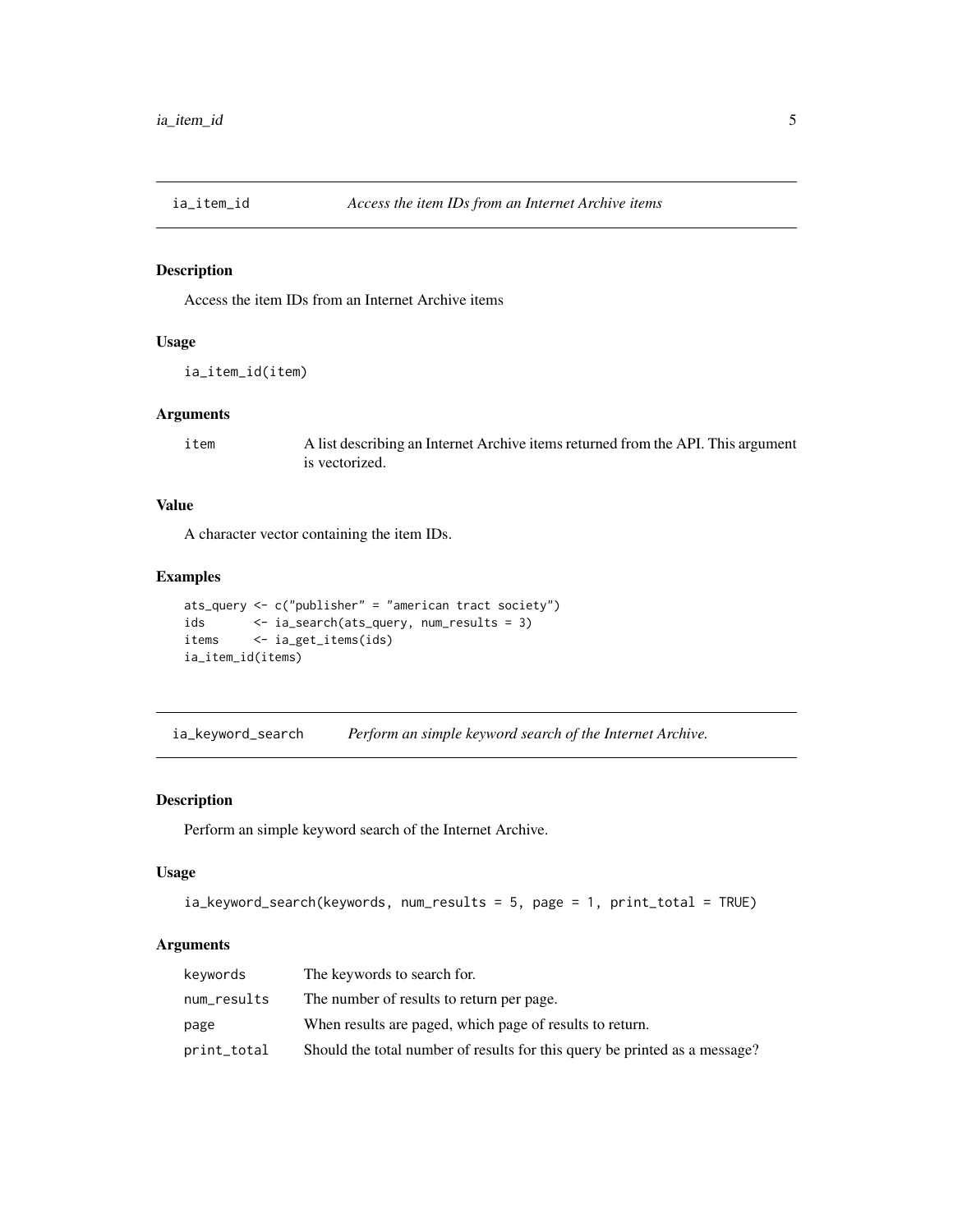<span id="page-4-0"></span>

#### Description

Access the item IDs from an Internet Archive items

#### Usage

```
ia_item_id(item)
```
#### Arguments

item A list describing an Internet Archive items returned from the API. This argument is vectorized.

#### Value

A character vector containing the item IDs.

#### Examples

```
ats_query <- c("publisher" = "american tract society")
ids <- ia_search(ats_query, num_results = 3)
items <- ia_get_items(ids)
ia_item_id(items)
```
ia\_keyword\_search *Perform an simple keyword search of the Internet Archive.*

#### Description

Perform an simple keyword search of the Internet Archive.

#### Usage

```
ia_keyword_search(keywords, num_results = 5, page = 1, print_total = TRUE)
```
#### Arguments

| keywords    | The keywords to search for.                                                |
|-------------|----------------------------------------------------------------------------|
| num_results | The number of results to return per page.                                  |
| page        | When results are paged, which page of results to return.                   |
| print_total | Should the total number of results for this query be printed as a message? |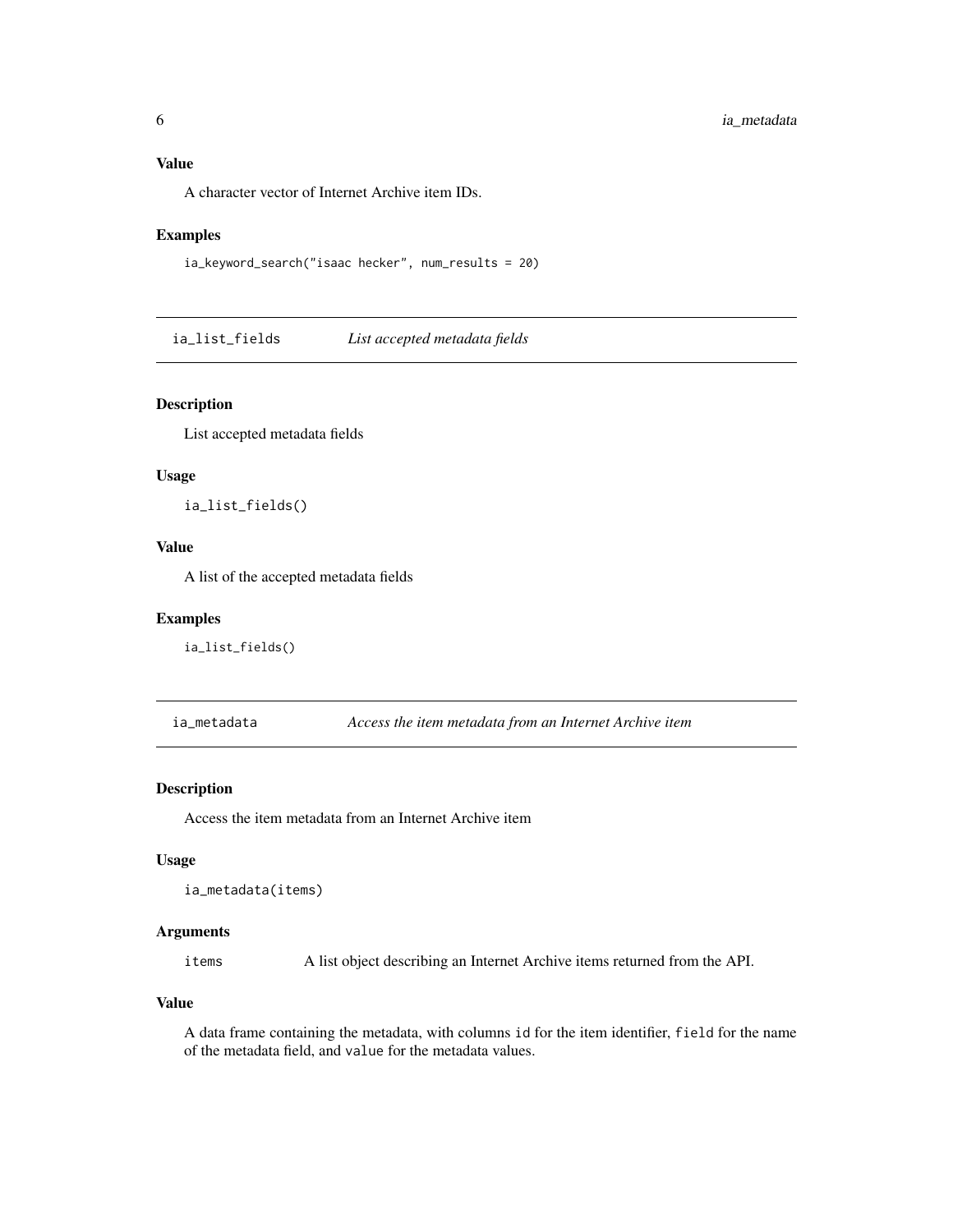#### <span id="page-5-0"></span>Value

A character vector of Internet Archive item IDs.

#### Examples

```
ia_keyword_search("isaac hecker", num_results = 20)
```
ia\_list\_fields *List accepted metadata fields*

#### Description

List accepted metadata fields

#### Usage

ia\_list\_fields()

#### Value

A list of the accepted metadata fields

#### Examples

ia\_list\_fields()

<span id="page-5-1"></span>ia\_metadata *Access the item metadata from an Internet Archive item*

#### Description

Access the item metadata from an Internet Archive item

#### Usage

```
ia_metadata(items)
```
#### Arguments

items A list object describing an Internet Archive items returned from the API.

#### Value

A data frame containing the metadata, with columns id for the item identifier, field for the name of the metadata field, and value for the metadata values.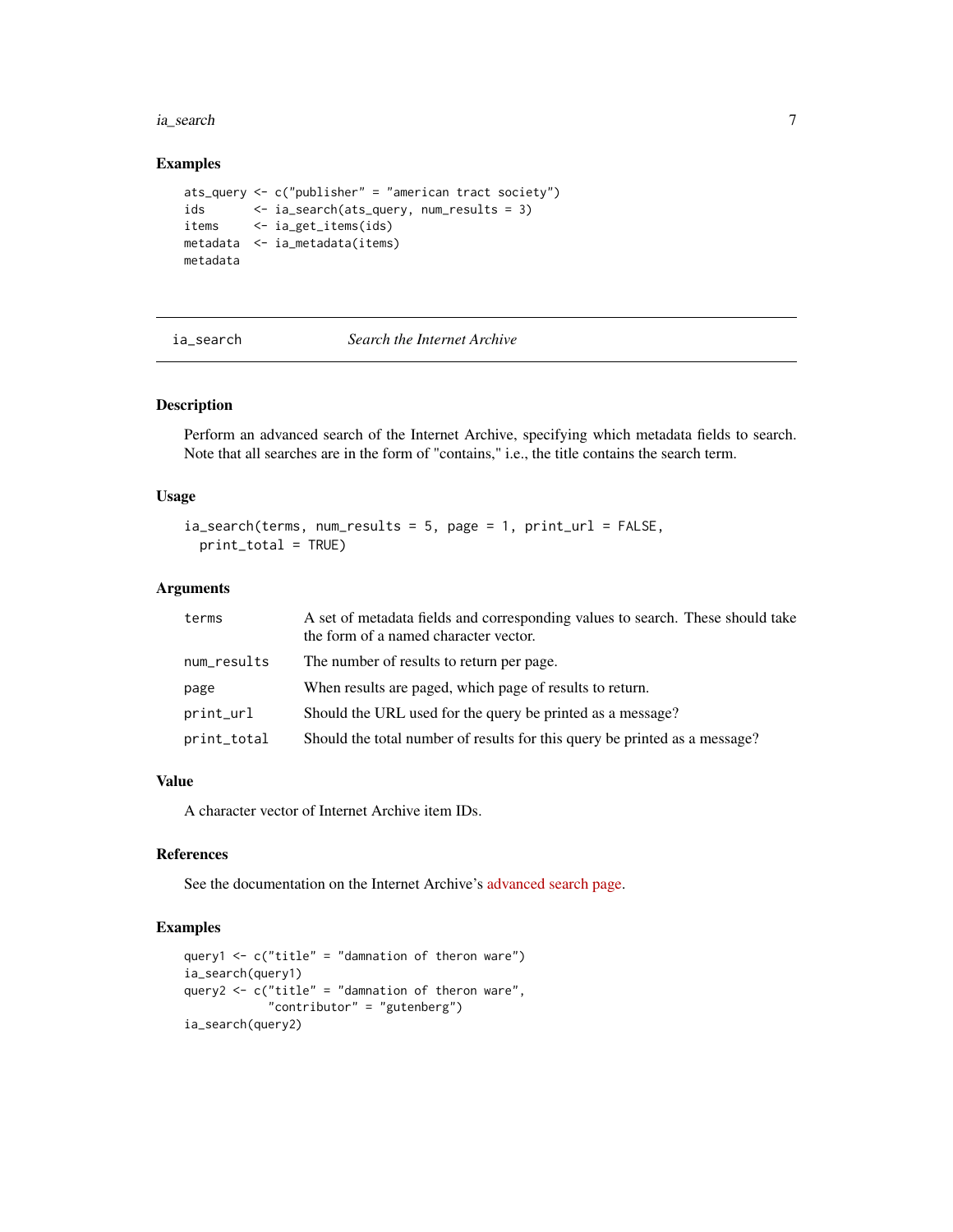#### <span id="page-6-0"></span>ia\_search 7

#### Examples

```
ats_query <- c("publisher" = "american tract society")
ids <- ia_search(ats_query, num_results = 3)
items <- ia_get_items(ids)
metadata <- ia_metadata(items)
metadata
```
#### ia\_search *Search the Internet Archive*

#### Description

Perform an advanced search of the Internet Archive, specifying which metadata fields to search. Note that all searches are in the form of "contains," i.e., the title contains the search term.

#### Usage

```
ia\_search(terms, num\_results = 5, page = 1, print\_url = FALSE,print_total = TRUE)
```
#### Arguments

| terms       | A set of metadata fields and corresponding values to search. These should take<br>the form of a named character vector. |
|-------------|-------------------------------------------------------------------------------------------------------------------------|
| num_results | The number of results to return per page.                                                                               |
| page        | When results are paged, which page of results to return.                                                                |
| print_url   | Should the URL used for the query be printed as a message?                                                              |
| print_total | Should the total number of results for this query be printed as a message?                                              |

#### Value

A character vector of Internet Archive item IDs.

#### References

See the documentation on the Internet Archive's [advanced search page.](https://archive.org/advancedsearch.php)

#### Examples

```
query1 \leq c("title" = "damnation of theron ware")
ia_search(query1)
query2 <- c("title" = "damnation of theron ware",
            "contributor" = "gutenberg")
ia_search(query2)
```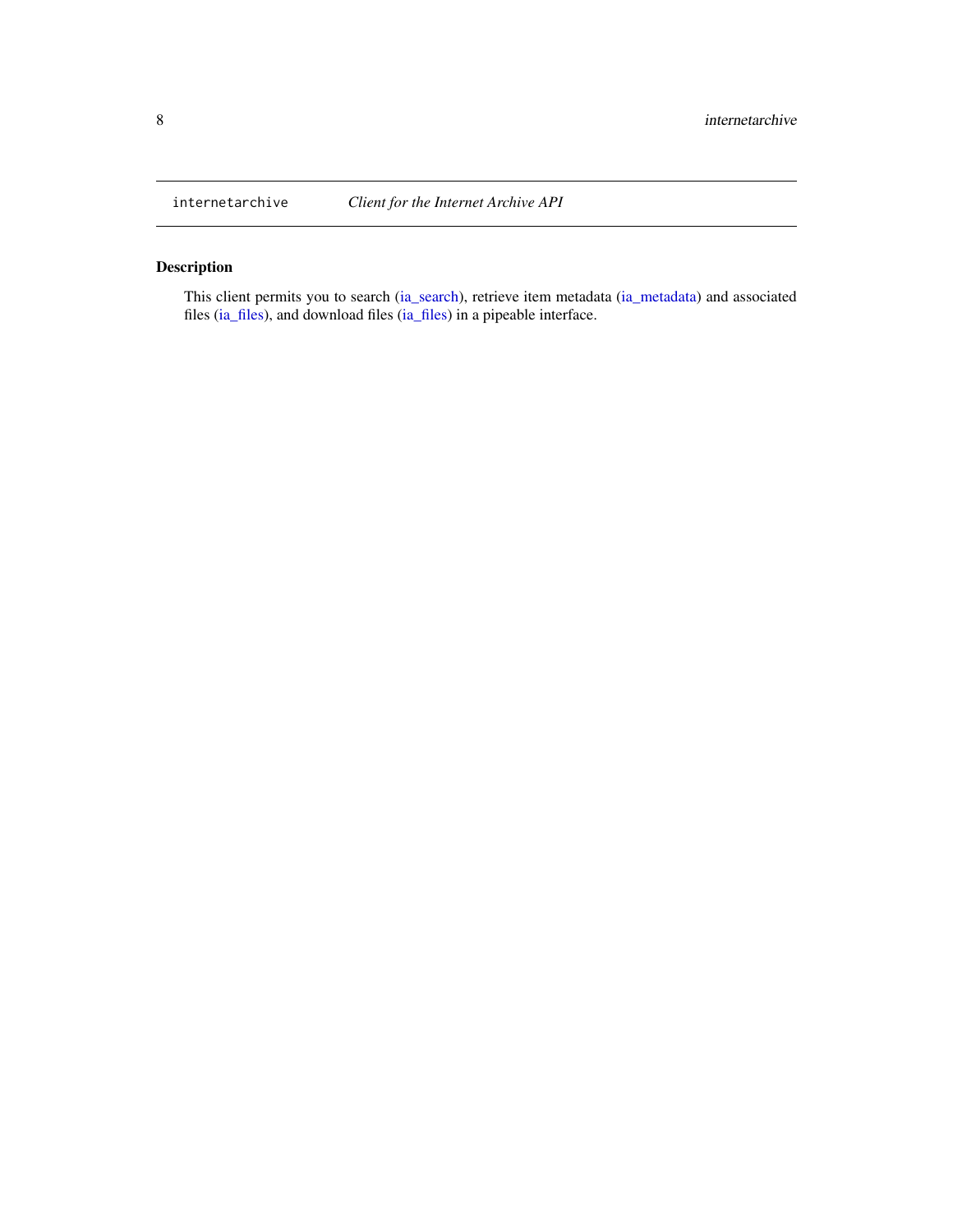<span id="page-7-0"></span>

#### Description

This client permits you to search [\(ia\\_search\)](#page-6-1), retrieve item metadata [\(ia\\_metadata\)](#page-5-1) and associated files [\(ia\\_files\)](#page-2-1), and download files [\(ia\\_files\)](#page-2-1) in a pipeable interface.